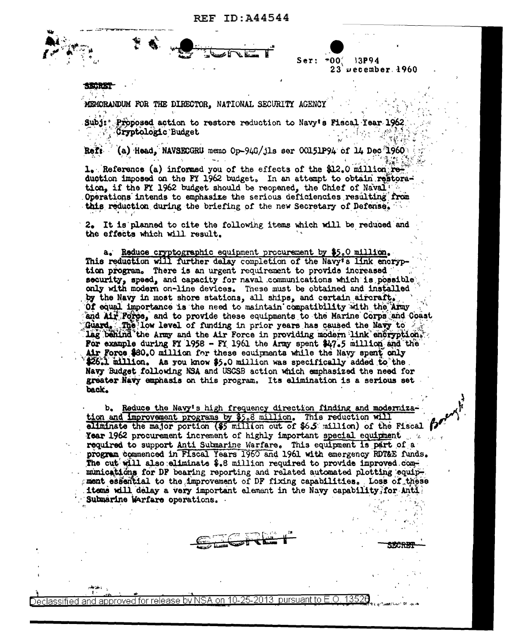MEMORANDUM FOR THE DIRECTOR, NATIONAL SECURITY AGENCY

Subj: Proposed action to restore reduction to Navy's Piscal Year 1962 Cryptologic Budget

 $*00'$ 

 $Ser:$ 

13P94

 $23$  vecember  $1960$ 

(a) Head. NAVSECGRU memo Op-94G/jls ser  $00151P94$  of 14 Dec 1960 Reft

1. Reference (a) informed you of the effects of the \$12.0 million reduction imposed on the FY 1962 budget. In an attempt to obtain restoration, if the FI 1962 budget should be reopened, the Chief of Naval Operations intends to emphasize the serious deficiencies resulting from this reduction during the briefing of the new Secretary of Defense.

2. It is planned to cite the following items which will be reduced and the effects which will result.

a. Reduce cryptographic equipment procurement by \$5.0 million. This reduction will further delay completion of the Navy's link encryption program. There is an urgent requirement to provide increased security, speed, and capacity for naval communications which is possible only with modern on-line devices. These must be obtained and installed by the Navy in most shore stations, all ships, and certain aircraft. Of equal importance is the need to maintain compatibility with the Army and Air Force, and to provide these equipments to the Marine Corps and Coast Guard. The low level of funding in prior years has caused the Navy to  $\sim$ lag behind the Army and the Air Force in providing modern link encryption. For example during FY 1958 - FY 1961 the Army spent  $\frac{17.5}{100}$  million and the Air Force \$80.0 million for these equipments while the Navy spent only \$26.1 million. As you know \$5.0 million was specifically added to the. Navy Budget following NSA and USCSB action which emphasized the need for greater Navy emphasis on this program. Its elimination is a serious set back.

b. Reduce the Navy's high frequency direction finding and modernization and improvement programs by \$5.8 million. This reduction will aliminate the major portion (\$5 million out of \$6.5 million) of the Piscal Year 1962 procurement increment of highly important special equipment that required to support Anti Submarine Warfare. This equipment is part of a program commenced in Fiscal Years 1960 and 1961 with emergency RDT&E funds. The cut will also aliminate \$.8 million required to provide improved communications for DF bearing reporting and related automated plotting equipment essential to the improvement of DF fixing capabilities. Loss of these items will delay a very important element in the Navy capability for Anti Submarine Warfare operations.

and approved for release by NSA on 10-25-2013 pursuant to E.O. -135 lassified